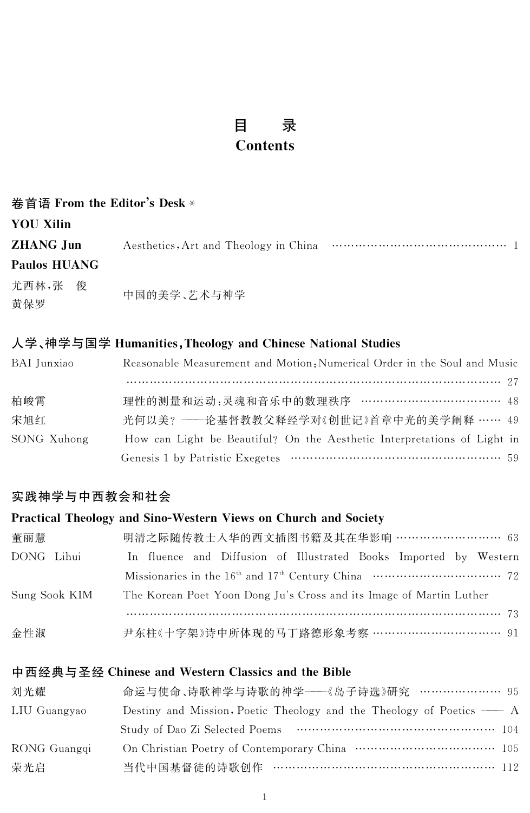#### 录 目 **Contents**

| 卷首语 From the Editor's Desk * |             |  |  |  |
|------------------------------|-------------|--|--|--|
| <b>YOU Xilin</b>             |             |  |  |  |
| <b>ZHANG Jun</b>             |             |  |  |  |
| <b>Paulos HUANG</b>          |             |  |  |  |
| 尤西林,张 俊<br>黄保罗               | 中国的美学、艺术与神学 |  |  |  |

#### 人学、神学与国学 Humanities, Theology and Chinese National Studies

| BAI Junxiao | Reasonable Measurement and Motion: Numerical Order in the Soul and Music |
|-------------|--------------------------------------------------------------------------|
|             |                                                                          |
| 柏峻霄         | 理性的测量和运动:灵魂和音乐中的数理秩序 ……………………………… 48                                     |
| 宋旭红         | 光何以美? ——论基督教教父释经学对《创世记》首章中光的美学阐释 …… 49                                   |
| SONG Xuhong | How can Light be Beautiful? On the Aesthetic Interpretations of Light in |
|             |                                                                          |

# 实践神学与中西教会和社会

#### Practical Theology and Sino-Western Views on Church and Society

| 董丽慧           | 明清之际随传教士入华的西文插图书籍及其在华影响 ……………………… 63                                |
|---------------|---------------------------------------------------------------------|
| DONG Lihui    | In fluence and Diffusion of Illustrated Books Imported by Western   |
|               |                                                                     |
| Sung Sook KIM | The Korean Poet Yoon Dong Ju's Cross and its Image of Martin Luther |
|               |                                                                     |
| 金性淑           | 尹东柱《十字架》诗中所体现的马丁路德形象考察 …………………………… 91                               |

### 中西经典与圣经 Chinese and Western Classics and the Bible

| 刘光耀          | 命运与使命、诗歌神学与诗歌的神学——《岛子诗选》研究 ………………… 95                                            |  |
|--------------|----------------------------------------------------------------------------------|--|
| LIU Guangyao | Destiny and Mission, Poetic Theology and the Theology of Poetics $\rightarrow A$ |  |
|              |                                                                                  |  |
| RONG Guangqi |                                                                                  |  |
| 荣光启          | 当代中国基督徒的诗歌创作 ………………………………………………… 112                                             |  |